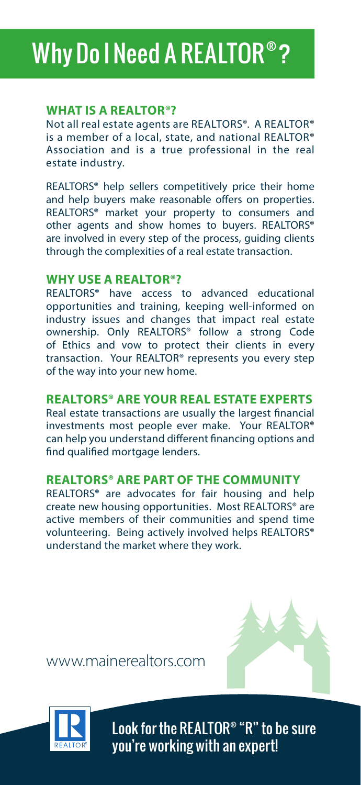# Why Do I Need A REALTOR® ?

### **WHAT IS A REALTOR®?**

Not all real estate agents are REALTORS®. A REALTOR® is a member of a local, state, and national REALTOR® Association and is a true professional in the real estate industry.

REALTORS® help sellers competitively price their home and help buyers make reasonable offers on properties. REALTORS® market your property to consumers and other agents and show homes to buyers. REALTORS® are involved in every step of the process, guiding clients through the complexities of a real estate transaction.

#### **WHY USE A REALTOR®?**

REALTORS® have access to advanced educational opportunities and training, keeping well-informed on industry issues and changes that impact real estate ownership. Only REALTORS® follow a strong Code of Ethics and vow to protect their clients in every transaction. Your REALTOR® represents you every step of the way into your new home.

#### **REALTORS® ARE YOUR REAL ESTATE EXPERTS**

Real estate transactions are usually the largest financial investments most people ever make. Your REALTOR® can help you understand different financing options and find qualified mortgage lenders.

#### **REALTORS® ARE PART OF THE COMMUNITY**

REALTORS® are advocates for fair housing and help create new housing opportunities. Most REALTORS® are active members of their communities and spend time volunteering. Being actively involved helps REALTORS® understand the market where they work.

www.mainerealtors.com



Look for the REALTOR® "R" to be sure you're working with an expert!